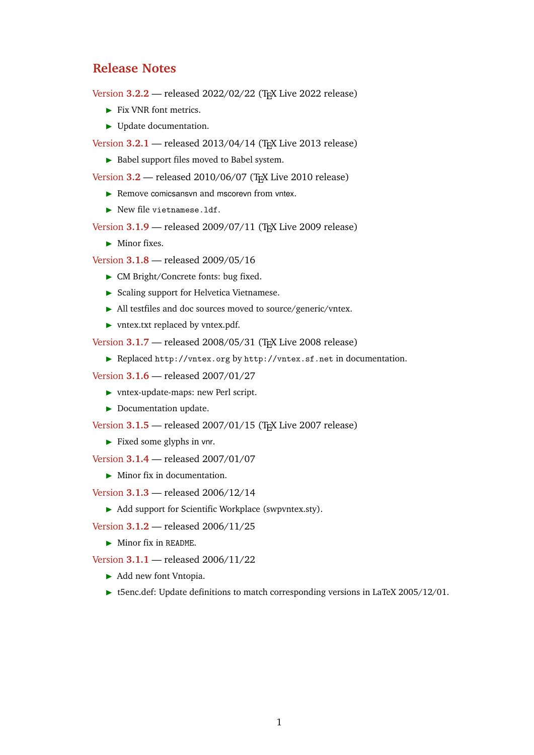## **Release Notes**

Version **3.2.2** — released 2022/02/22 (T<sub>F</sub>X Live 2022 release)

- ▶ Fix VNR font metrics.
- ▶ Update documentation.

Version **3.2.1** — released 2013/04/14 (TEX Live 2013 release)

▶ Babel support files moved to Babel system.

Version **3.2** — released 2010/06/07 (TEX Live 2010 release)

- ▶ Remove comicsansvn and mscorevn from vntex.
- ▶ New file vietnamese.ldf.

Version **3.1.9** — released 2009/07/11 (TEX Live 2009 release)

**•** Minor fixes.

Version **3.1.8** — released 2009/05/16

- ▶ CM Bright/Concrete fonts: bug fixed.
- ▶ Scaling support for Helvetica Vietnamese.
- ▶ All testfiles and doc sources moved to source/generic/vntex.
- ▶ vntex.txt replaced by vntex.pdf.

Version **3.1.7** — released 2008/05/31 (TEX Live 2008 release)

▶ Replaced http://vntex.org by <http://vntex.sf.net> in documentation.

Version **3.1.6** — released 2007/01/27

- ▶ vntex-update-maps: new Perl script.
- ▶ Documentation update.

Version **3.1.5** — released 2007/01/15 (T<sub>F</sub>X Live 2007 release)

▶ Fixed some glyphs in vnr.

Version **3.1.4** — released 2007/01/07

▶ Minor fix in documentation.

Version **3.1.3** — released 2006/12/14

▶ Add support for Scientific Workplace (swpvntex.sty).

Version **3.1.2** — released 2006/11/25

**• Minor fix in README.** 

Version **3.1.1** — released 2006/11/22

- ▶ Add new font Vntopia.
- ▶ t5enc.def: Update definitions to match corresponding versions in LaTeX 2005/12/01.